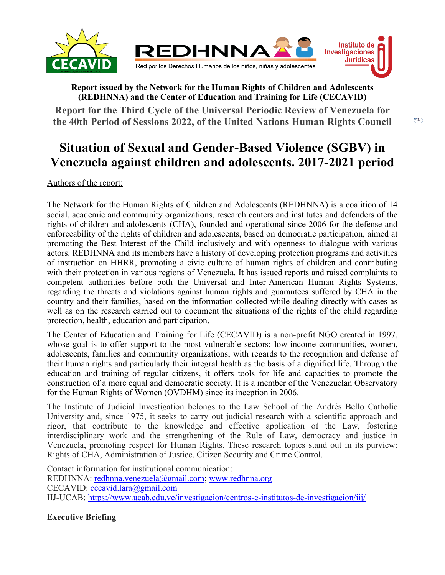

# **Report issued by the Network for the Human Rights of Children and Adolescents (REDHNNA) and the Center of Education and Training for Life (CECAVID)**

**Report for the Third Cycle of the Universal Periodic Review of Venezuela for the 40th Period of Sessions 2022, of the United Nations Human Rights Council**

# **Situation of Sexual and Gender-Based Violence (SGBV) in Venezuela against children and adolescents. 2017-2021 period**

Authors of the report:

The Network for the Human Rights of Children and Adolescents (REDHNNA) is <sup>a</sup> coalition of 14 social, academic and community organizations, research centers and institutes and defenders of the rights of children and adolescents (CHA), founded and operational since 2006 for the defense and enforceability of the rights of children and adolescents, based on democratic participation, aimed at promoting the Best Interest of the Child inclusively and with openness to dialogue with various actors. REDHNNA and its members have <sup>a</sup> history of developing protection programs and activities of instruction on HHRR, promoting <sup>a</sup> civic culture of human rights of children and contributing with their protection in various regions of Venezuela. It has issued reports and raised complaints to competent authorities before both the Universal and Inter-American Human Rights Systems, regarding the threats and violations against human rights and guarantees suffered by CHA in the country and their families, based on the information collected while dealing directly with cases as well as on the research carried out to document the situations of the rights of the child regarding protection, health, education and participation.

The Center of Education and Training for Life (CECAVID) is <sup>a</sup> non-profit NGO created in 1997, whose goal is to offer suppor<sup>t</sup> to the most vulnerable sectors; low-income communities, women, adolescents, families and community organizations; with regards to the recognition and defense of their human rights and particularly their integral health as the basis of <sup>a</sup> dignified life. Through the education and training of regular citizens, it offers tools for life and capacities to promote the construction of <sup>a</sup> more equal and democratic society. It is <sup>a</sup> member of the Venezuelan Observatory for the Human Rights of Women (OVDHM) since its inception in 2006.

The Institute of Judicial Investigation belongs to the Law School of the Andrés Bello Catholic University and, since 1975, it seeks to carry out judicial research with <sup>a</sup> scientific approach and rigor, that contribute to the knowledge and effective application of the Law, fostering interdisciplinary work and the strengthening of the Rule of Law, democracy and justice in Venezuela, promoting respec<sup>t</sup> for Human Rights. These research topics stand out in its purview: Rights of CHA, Administration of Justice, Citizen Security and Crime Control.

Contact information for institutional communication: REDHNNA: [redhnna.venezuela@gmail.com](mailto:redhnna.venezuela@gmail.com); [www.redhnna.org](http://www.redhnna.org) CECAVID: [cecavid.lara@gmail.com](mailto:cecavid.lara@gmail.com) IIJ-UCAB: <https://www.ucab.edu.ve/investigacion/centros-e-institutos-de-investigacion/iij/>

**Executive Briefing**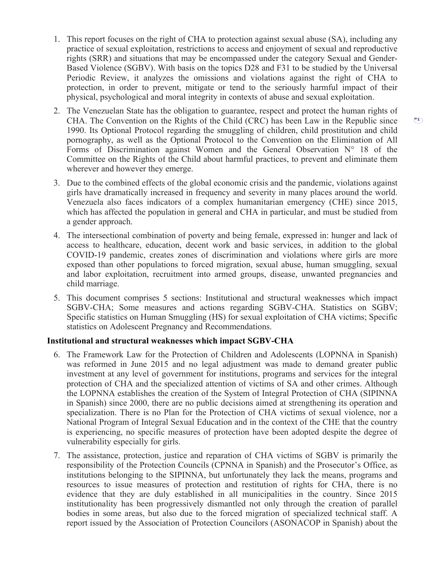- 1. This repor<sup>t</sup> focuses on the right of CHA to protection against sexual abuse (SA), including any practice of sexual exploitation, restrictions to access and enjoyment of sexual and reproductive rights (SRR) and situations that may be encompassed under the category Sexual and Gender-Based Violence (SGBV). With basis on the topics D28 and F31 to be studied by the Universal Periodic Review, it analyzes the omissions and violations against the right of CHA to protection, in order to prevent, mitigate or tend to the seriously harmful impact of their physical, psychological and moral integrity in contexts of abuse and sexual exploitation.
- 2. The Venezuelan State has the obligation to guarantee, respec<sup>t</sup> and protect the human rights of CHA. The Convention on the Rights of the Child (CRC) has been Law in the Republic since 1990. Its Optional Protocol regarding the smuggling of children, child prostitution and child pornography, as well as the Optional Protocol to the Convention on the Elimination of All Forms of Discrimination against Women and the General Observation  $N^{\circ}$  18 of the Committee on the Rights of the Child about harmful practices, to preven<sup>t</sup> and eliminate them wherever and however they emerge.
- 3. Due to the combined effects of the global economic crisis and the pandemic, violations against girls have dramatically increased in frequency and severity in many places around the world. Venezuela also faces indicators of <sup>a</sup> complex humanitarian emergency (CHE) since 2015, which has affected the population in general and CHA in particular, and must be studied from <sup>a</sup> gender approach.
- 4. The intersectional combination of poverty and being female, expressed in: hunger and lack of access to healthcare, education, decent work and basic services, in addition to the global COVID-19 pandemic, creates zones of discrimination and violations where girls are more exposed than other populations to forced migration, sexual abuse, human smuggling, sexual and labor exploitation, recruitment into armed groups, disease, unwanted pregnancies and child marriage.
- 5. This document comprises 5 sections: Institutional and structural weaknesses which impact SGBV-CHA; Some measures and actions regarding SGBV-CHA. Statistics on SGBV; Specific statistics on Human Smuggling (HS) for sexual exploitation of CHA victims; Specific statistics on Adolescent Pregnancy and Recommendations.

## **Institutional and structural weaknesses which impact SGBV-CHA**

- 6. The Framework Law for the Protection of Children and Adolescents (LOPNNA in Spanish) was reformed in June 2015 and no legal adjustment was made to demand greater public investment at any level of governmen<sup>t</sup> for institutions, programs and services for the integral protection of CHA and the specialized attention of victims of SA and other crimes. Although the LOPNNA establishes the creation of the System of Integral Protection of CHA (SIPINNA in Spanish) since 2000, there are no public decisions aimed at strengthening its operation and specialization. There is no Plan for the Protection of CHA victims of sexual violence, nor <sup>a</sup> National Program of Integral Sexual Education and in the context of the CHE that the country is experiencing, no specific measures of protection have been adopted despite the degree of vulnerability especially for girls.
- 7. The assistance, protection, justice and reparation of CHA victims of SGBV is primarily the responsibility of the Protection Councils (CPNNA in Spanish) and the Prosecutor'<sup>s</sup> Office, as institutions belonging to the SIPINNA, but unfortunately they lack the means, programs and resources to issue measures of protection and restitution of rights for CHA, there is no evidence that they are duly established in all municipalities in the country. Since 2015 institutionality has been progressively dismantled not only through the creation of parallel bodies in some areas, but also due to the forced migration of specialized technical staff. A repor<sup>t</sup> issued by the Association of Protection Councilors (ASONACOP in Spanish) about the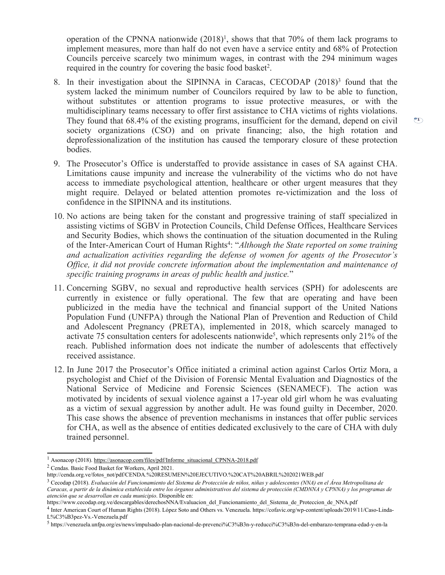operation of the CPNNA nationwide (2018) 1 , shows that that 70% of them lack programs to implement measures, more than half do not even have <sup>a</sup> service entity and 68% of Protection Councils perceive scarcely two minimum wages, in contrast with the 294 minimum wages required in the country for covering the basic food basket 2 .

- 8. In their investigation about the SIPINNA in Caracas, CECODAP (2018) 3 found that the system lacked the minimum number of Councilors required by law to be able to function, without substitutes or attention programs to issue protective measures, or with the multidisciplinary teams necessary to offer first assistance to CHA victims of rights violations. They found that 68.4% of the existing programs, insufficient for the demand, depend on civil society organizations (CSO) and on private financing; also, the high rotation and deprofessionalization of the institution has caused the temporary closure of these protection bodies.
- 9. The Prosecutor'<sup>s</sup> Office is understaffed to provide assistance in cases of SA against CHA. Limitations cause impunity and increase the vulnerability of the victims who do not have access to immediate psychological attention, healthcare or other urgen<sup>t</sup> measures that they might require. Delayed or belated attention promotes re-victimization and the loss of confidence in the SIPINNA and its institutions.
- 10. No actions are being taken for the constant and progressive training of staff specialized in assisting victims of SGBV in Protection Councils, Child Defense Offices, Healthcare Services and Security Bodies, which shows the continuation of the situation documented in the Ruling of the Inter-American Court of Human Rights 4 : "*Although the State reported on some training and actualization activities regarding the defense of women for agents of the Prosecutor'<sup>s</sup> Office, it did not provide concrete information about the implementation and maintenance of specific training programs in areas of public health and justice.*"
- 11. Concerning SGBV, no sexual and reproductive health services (SPH) for adolescents are currently in existence or fully operational. The few that are operating and have been publicized in the media have the technical and financial suppor<sup>t</sup> of the United Nations Population Fund (UNFPA) through the National Plan of Prevention and Reduction of Child and Adolescent Pregnancy (PRETA), implemented in 2018, which scarcely managed to activate 75 consultation centers for adolescents nationwide<sup>5</sup>, which represents only 21% of the reach. Published information does not indicate the number of adolescents that effectively received assistance.
- 12. In June 2017 the Prosecutor'<sup>s</sup> Office initiated <sup>a</sup> criminal action against Carlos Ortiz Mora, <sup>a</sup> psychologist and Chief of the Division of Forensic Mental Evaluation and Diagnostics of the National Service of Medicine and Forensic Sciences (SENAMECF). The action was motivated by incidents of sexual violence against <sup>a</sup> 17-year old girl whom he was evaluating as <sup>a</sup> victim of sexual aggression by another adult. He was found guilty in December, 2020. This case shows the absence of prevention mechanisms in instances that offer public services for CHA, as well as the absence of entities dedicated exclusively to the care of CHA with duly trained personnel.

 $\mathfrak{C}$ 

<sup>&</sup>lt;sup>1</sup> Asonacop (2018). [https://asonacop.com/files/pdf/Informe\\_situacional\\_CPNNA-2018.pdf](https://asonacop.com/files/pdf/Informe_situacional_CPNNA-2018.pdf)

<sup>2</sup> Cendas. Basic Food Basket for Workers, April 2021.

http://cenda.org.ve/fotos\_not/pdf/CENDA.%20RESUMEN%20EJECUTIVO.%20CAT%20ABRIL%202021WEB.pdf

<sup>&</sup>lt;sup>3</sup> Cecodap (2018). Evaluación del Funcionamiento del Sistema de Protección de niños, niñas y adolescentes (NNA) en el Área Metropolitana de Caracas, a partir de la dinámica establecida entre los órganos administrativos del sistema de protección (CMDNNA y CPNNA) y los programas de *atención que se desarrollan en cada municipio*. Disponible en:

https://www.cecodap.org.ve/descargables/derechosNNA/Evaluacion\_del\_Funcionamiento\_del\_Sistema\_de\_Proteccion\_de\_NNA.pdf

<sup>4</sup> Inter American Court of Human Rights (2018). López Soto and Others vs. Venezuela. https://cofavic.org/wp-content/uploads/2019/11/Caso-Linda-L%C3%B3pez-Vs.-Venezuela.pdf

<sup>5</sup> https://venezuela.unfpa.org/es/news/impulsado-plan-nacional-de-prevenci%C3%B3n-y-reducci%C3%B3n-del-embarazo-temprana-edad-y-en-la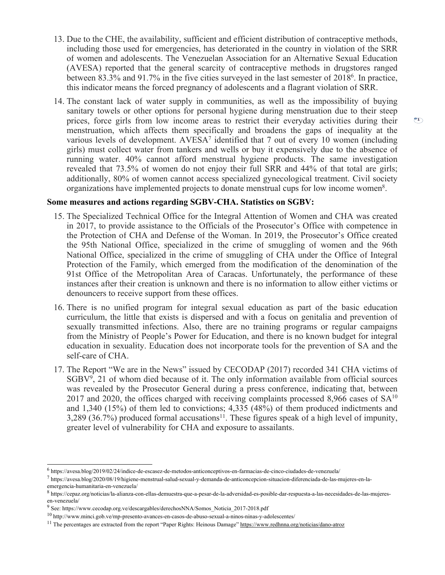- 13. Due to the CHE, the availability, sufficient and efficient distribution of contraceptive methods, including those used for emergencies, has deteriorated in the country in violation of the SRR of women and adolescents. The Venezuelan Association for an Alternative Sexual Education (AVESA) reported that the general scarcity of contraceptive methods in drugstores ranged between 83.3% and 91.7% in the five cities surveyed in the last semester of 2018<sup>6</sup> . In practice, this indicator means the forced pregnancy of adolescents and <sup>a</sup> flagrant violation of SRR.
- 14. The constant lack of water supply in communities, as well as the impossibility of buying sanitary towels or other options for personal hygiene during menstruation due to their steep prices, force girls from low income areas to restrict their everyday activities during their menstruation, which affects them specifically and broadens the gaps of inequality at the various levels of development. AVESA<sup>7</sup> identified that 7 out of every 10 women (including girls) must collect water from tankers and wells or buy it expensively due to the absence of running water. 40% cannot afford menstrual hygiene products. The same investigation revealed that 73.5% of women do not enjoy their full SRR and 44% of that total are girls; additionally, 80% of women cannot access specialized gynecological treatment. Civil society organizations have implemented projects to donate menstrual cups for low income women<sup>8</sup>.

#### **Some measures and actions regarding SGBV-CHA. Statistics on SGBV:**

- 15. The Specialized Technical Office for the Integral Attention of Women and CHA was created in 2017, to provide assistance to the Officials of the Prosecutor'<sup>s</sup> Office with competence in the Protection of CHA and Defense of the Woman. In 2019, the Prosecutor'<sup>s</sup> Office created the 95th National Office, specialized in the crime of smuggling of women and the 96th National Office, specialized in the crime of smuggling of CHA under the Office of Integral Protection of the Family, which emerged from the modification of the denomination of the 91st Office of the Metropolitan Area of Caracas. Unfortunately, the performance of these instances after their creation is unknown and there is no information to allow either victims or denouncers to receive suppor<sup>t</sup> from these offices.
- 16. There is no unified program for integral sexual education as par<sup>t</sup> of the basic education curriculum, the little that exists is dispersed and with <sup>a</sup> focus on genitalia and prevention of sexually transmitted infections. Also, there are no training programs or regular campaigns from the Ministry of People'<sup>s</sup> Power for Education, and there is no known budget for integral education in sexuality. Education does not incorporate tools for the prevention of SA and the self-care of CHA.
- 17. The Report "We are in the News" issued by CECODAP (2017) recorded 341 CHA victims of SGBV<sup>9</sup> , 21 of whom died because of it. The only information available from official sources was revealed by the Prosecutor General during <sup>a</sup> press conference, indicating that, between 2017 and 2020, the offices charged with receiving complaints processed 8,966 cases of  $SA^{10}$ and 1,340 (15%) of them led to convictions; 4,335 (48%) of them produced indictments and 3,289 (36.7%) produced formal accusations<sup>11</sup>. These figures speak of a high level of impunity, greater level of vulnerability for CHA and exposure to assailants.

<sup>6</sup> https://avesa.blog/2019/02/24/indice-de-escasez-de-metodos-anticonceptivos-en-farmacias-de-cinco-ciudades-de-venezuela/

<sup>7</sup> https://avesa.blog/2020/08/19/higiene-menstrual-salud-sexual-y-demanda-de-anticoncepcion-situacion-diferenciada-de-las-mujeres-en-laemergencia-humanitaria-en-venezuela/

<sup>8</sup> https://cepaz.org/noticias/la-alianza-con-ellas-demuestra-que-a-pesar-de-la-adversidad-es-posible-dar-respuesta-a-las-necesidades-de-las-mujeresen-venezuela/

<sup>&</sup>lt;sup>9</sup> See: https://www.cecodap.org.ve/descargables/derechosNNA/Somos\_Noticia\_2017-2018.pdf

<sup>&</sup>lt;sup>10</sup> http://www.minci.gob.ve/mp-presento-avances-en-casos-de-abuso-sexual-a-ninos-ninas-y-adolescentes/

<sup>&</sup>lt;sup>11</sup> The percentages are extracted from the report "Paper Rights: Heinous Damage" <https://www.redhnna.org/noticias/dano-atroz>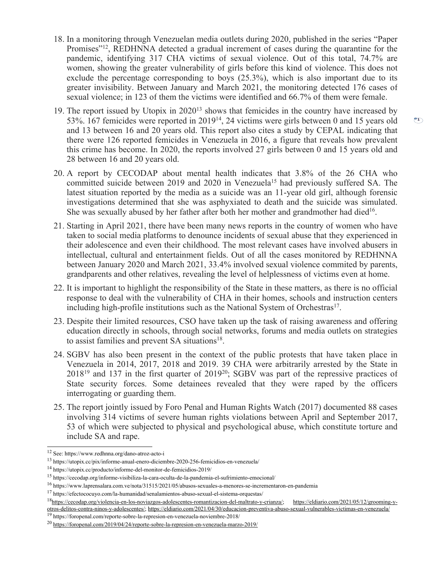- 18. In <sup>a</sup> monitoring through Venezuelan media outlets during 2020, published in the series "Paper Promises"<sup>12</sup>, REDHNNA detected a gradual increment of cases during the quarantine for the pandemic, identifying 317 CHA victims of sexual violence. Out of this total, 74.7% are women, showing the greater vulnerability of girls before this kind of violence. This does not exclude the percentage corresponding to boys (25.3%), which is also important due to its greater invisibility. Between January and March 2021, the monitoring detected 176 cases of sexual violence; in 123 of them the victims were identified and 66.7% of them were female.
- 19. The report issued by Utopix in 2020<sup>13</sup> shows that femicides in the country have increased by 53%. 167 femicides were reported in 2019<sup>14</sup>, 24 victims were girls between 0 and 15 years old and 13 between 16 and 20 years old. This repor<sup>t</sup> also cites <sup>a</sup> study by CEPAL indicating that there were 126 reported femicides in Venezuela in 2016, <sup>a</sup> figure that reveals how prevalent this crime has become. In 2020, the reports involved 27 girls between 0 and 15 years old and 28 between 16 and 20 years old.
- 20. A report by CECODAP about mental health indicates that 3.8% of the 26 CHA who committed suicide between 2019 and 2020 in Venezuela<sup>15</sup> had previously suffered SA. The latest situation reported by the media as <sup>a</sup> suicide was an 11-year old girl, although forensic investigations determined that she was asphyxiated to death and the suicide was simulated. She was sexually abused by her father after both her mother and grandmother had died $^{16}$ .
- 21. Starting in April 2021, there have been many news reports in the country of women who have taken to social media platforms to denounce incidents of sexual abuse that they experienced in their adolescence and even their childhood. The most relevant cases have involved abusers in intellectual, cultural and entertainment fields. Out of all the cases monitored by REDHNNA between January 2020 and March 2021, 33.4% involved sexual violence commited by parents, grandparents and other relatives, revealing the level of helplessness of victims even at home.
- 22. It is important to highlight the responsibility of the State in these matters, as there is no official response to deal with the vulnerability of CHA in their homes, schools and instruction centers including high-profile institutions such as the National System of Orchestras 17 .
- 23. Despite their limited resources, CSO have taken up the task of raising awareness and offering education directly in schools, through social networks, forums and media outlets on strategies to assist families and preven<sup>t</sup> SA situations 18 .
- 24. SGBV has also been presen<sup>t</sup> in the context of the public protests that have taken place in Venezuela in 2014, 2017, 2018 and 2019. 39 CHA were arbitrarily arrested by the State in 2018<sup>19</sup> and 137 in the first quarter of 2019<sup>20</sup>; SGBV was part of the repressive practices of State security forces. Some detainees revealed that they were raped by the officers interrogating or guarding them.
- 25. The repor<sup>t</sup> jointly issued by Foro Penal and Human Rights Watch (2017) documented 88 cases involving 314 victims of severe human rights violations between April and September 2017, 53 of which were subjected to physical and psychological abuse, which constitute torture and include SA and rape.

<sup>12</sup> See: https://www.redhnna.org/dano-atroz-acto-i

<sup>&</sup>lt;sup>13</sup> https://utopix.cc/pix/informe-anual-enero-diciembre-2020-256-femicidios-en-venezuela/

<sup>14</sup> https://utopix.cc/producto/informe-del-monitor-de-femicidios-2019/

<sup>&</sup>lt;sup>15</sup> https://cecodap.org/informe-visibiliza-la-cara-oculta-de-la-pandemia-el-sufrimiento-emocional/

<sup>&</sup>lt;sup>16</sup> https://www.laprensalara.com.ve/nota/31515/2021/05/abusos-sexuales-a-menores-se-incrementaron-en-pandemia

<sup>&</sup>lt;sup>17</sup> https://efectococuyo.com/la-humanidad/senalamientos-abuso-sexual-el-sistema-orquestas/

<sup>&</sup>lt;sup>18</sup><https://cecodap.org/violencia-en-los-noviazgos-adolescentes-romantizacion-del-maltrato-y-crianza/>; [https://eldiario.com/2021/05/12/grooming-y](https://eldiario.com/2021/05/12/grooming-y-otros-delitos-contra-ninos-y-adolescentes/)[otros-delitos-contra-ninos-y-adolescentes/](https://eldiario.com/2021/05/12/grooming-y-otros-delitos-contra-ninos-y-adolescentes/); <https://eldiario.com/2021/04/30/educacion-preventiva-abuso-sexual-vulnerables-victimas-en-venezuela/>

<sup>&</sup>lt;sup>19</sup> https://foropenal.com/reporte-sobre-la-represion-en-venezuela-noviembre-2018/

<sup>&</sup>lt;sup>20</sup> <https://foropenal.com/2019/04/24/reporte-sobre-la-represion-en-venezuela-marzo-2019/>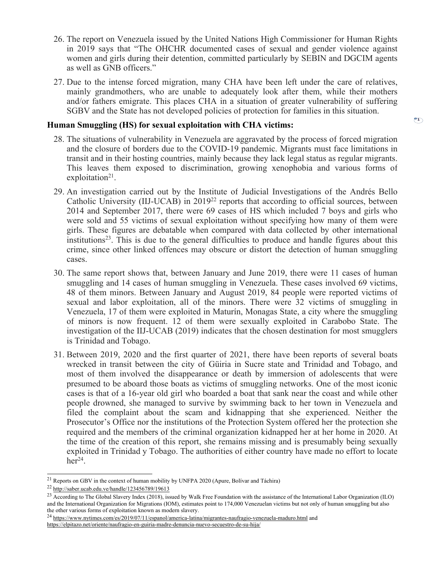- 26. The repor<sup>t</sup> on Venezuela issued by the United Nations High Commissioner for Human Rights in 2019 says that "The OHCHR documented cases of sexual and gender violence against women and girls during their detention, committed particularly by SEBIN and DGCIM agents as well as GNB officers."
- 27. Due to the intense forced migration, many CHA have been left under the care of relatives, mainly grandmothers, who are unable to adequately look after them, while their mothers and/or fathers emigrate. This places CHA in <sup>a</sup> situation of greater vulnerability of suffering SGBV and the State has not developed policies of protection for families in this situation.

#### **Human Smuggling (HS) for sexual exploitation with CHA victims:**

- 28. The situations of vulnerability in Venezuela are aggravated by the process of forced migration and the closure of borders due to the COVID-19 pandemic. Migrants must face limitations in transit and in their hosting countries, mainly because they lack legal status as regular migrants. This leaves them exposed to discrimination, growing xenophobia and various forms of exploitation<sup>21</sup>.
- 29. An investigation carried out by the Institute of Judicial Investigations of the Andrés Bello Catholic University (IIJ-UCAB) in  $2019^{22}$  reports that according to official sources, between 2014 and September 2017, there were 69 cases of HS which included 7 boys and girls who were sold and 55 victims of sexual exploitation without specifying how many of them were girls. These figures are debatable when compared with data collected by other international institutions 23 . This is due to the general difficulties to produce and handle figures about this crime, since other linked offences may obscure or distort the detection of human smuggling cases.
- 30. The same repor<sup>t</sup> shows that, between January and June 2019, there were 11 cases of human smuggling and 14 cases of human smuggling in Venezuela. These cases involved 69 victims, 48 of them minors. Between January and August 2019, 84 people were reported victims of sexual and labor exploitation, all of the minors. There were 32 victims of smuggling in Venezuela, 17 of them were exploited in Maturín, Monagas State, <sup>a</sup> city where the smuggling of minors is now frequent. 12 of them were sexually exploited in Carabobo State. The investigation of the IIJ-UCAB (2019) indicates that the chosen destination for most smugglers is Trinidad and Tobago.
- 31. Between 2019, 2020 and the first quarter of 2021, there have been reports of several boats wrecked in transit between the city of Güiria in Sucre state and Trinidad and Tobago, and most of them involved the disappearance or death by immersion of adolescents that were presumed to be aboard those boats as victims of smuggling networks. One of the most iconic cases is that of <sup>a</sup> 16-year old girl who boarded <sup>a</sup> boat that sank near the coast and while other people drowned, she managed to survive by swimming back to her town in Venezuela and filed the complaint about the scam and kidnapping that she experienced. Neither the Prosecutor'<sup>s</sup> Office nor the institutions of the Protection System offered her the protection she required and the members of the criminal organization kidnapped her at her home in 2020. At the time of the creation of this report, she remains missing and is presumably being sexually exploited in Trinidad y Tobago. The authorities of either country have made no effort to locate her 24 .

<sup>24</sup> <https://www.nytimes.com/es/2019/07/11/espanol/america-latina/migrantes-naufragio-venezuela-maduro.html> and

 $^{21}$  Reports on GBV in the context of human mobility by UNFPA 2020 (Apure, Bolívar and Táchira)

<sup>&</sup>lt;sup>22</sup> <http://saber.ucab.edu.ve/handle/123456789/19613>

<sup>&</sup>lt;sup>23</sup> According to The Global Slavery Index (2018), issued by Walk Free Foundation with the assistance of the International Labor Organization (ILO) and the International Organization for Migrations (IOM), estimates point to 174,000 Venezuelan victims but not only of human smuggling but also the other various forms of exploitation known as modern slavery.

<https://elpitazo.net/oriente/naufragio-en-guiria-madre-denuncia-nuevo-secuestro-de-su-hija/>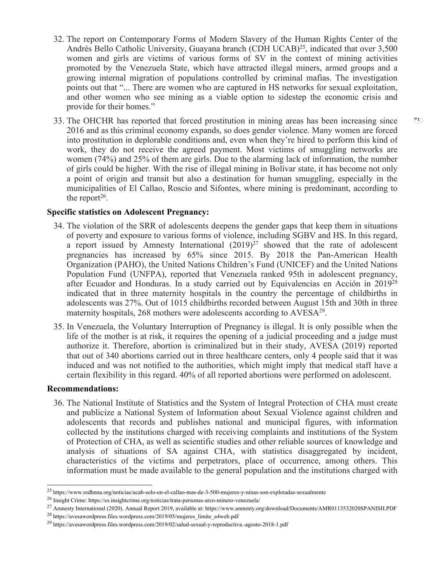- 32. The repor<sup>t</sup> on Contemporary Forms of Modern Slavery of the Human Rights Center of the Andrés Bello Catholic University, Guayana branch (CDH UCAB) 25 , indicated that over 3,500 women and girls are victims of various forms of SV in the context of mining activities promoted by the Venezuela State, which have attracted illegal miners, armed groups and <sup>a</sup> growing internal migration of populations controlled by criminal mafias. The investigation points out that "... There are women who are captured in HS networks for sexual exploitation, and other women who see mining as <sup>a</sup> viable option to sidestep the economic crisis and provide for their homes."
- 33. The OHCHR has reported that forced prostitution in mining areas has been increasing since 2016 and as this criminal economy expands, so does gender violence. Many women are forced into prostitution in deplorable conditions and, even when they're hired to perform this kind of work, they do not receive the agreed payment. Most victims of smuggling networks are women (74%) and 25% of them are girls. Due to the alarming lack of information, the number of girls could be higher. With the rise of illegal mining in Bolívar state, it has become not only <sup>a</sup> point of origin and transit but also <sup>a</sup> destination for human smuggling, especially in the municipalities of El Callao, Roscio and Sifontes, where mining is predominant, according to the report<sup>26</sup>.

## **Specific statistics on Adolescent Pregnancy:**

- 34. The violation of the SRR of adolescents deepens the gender gaps that keep them in situations of poverty and exposure to various forms of violence, including SGBV and HS. In this regard, <sup>a</sup> repor<sup>t</sup> issued by Amnesty International (2019) 27 showed that the rate of adolescent pregnancies has increased by 65% since 2015. By 2018 the Pan-American Health Organization (PAHO), the United Nations Children'<sup>s</sup> Fund (UNICEF) and the United Nations Population Fund (UNFPA), reported that Venezuela ranked 95th in adolescent pregnancy, after Ecuador and Honduras. In <sup>a</sup> study carried out by Equivalencias en Acción in 2019<sup>28</sup> indicated that in three maternity hospitals in the country the percentage of childbirths in adolescents was 27%. Out of 1015 childbirths recorded between August 15th and 30th in three maternity hospitals, 268 mothers were adolescents according to AVESA<sup>29</sup>.
- 35. In Venezuela, the Voluntary Interruption of Pregnancy is illegal. It is only possible when the life of the mother is at risk, it requires the opening of <sup>a</sup> judicial proceeding and <sup>a</sup> judge must authorize it. Therefore, abortion is criminalized but in their study, AVESA (2019) reported that out of 340 abortions carried out in three healthcare centers, only 4 people said that it was induced and was not notified to the authorities, which might imply that medical staff have <sup>a</sup> certain flexibility in this regard. 40% of all reported abortions were performed on adolescent.

#### **Recommendations:**

36. The National Institute of Statistics and the System of Integral Protection of CHA must create and publicize <sup>a</sup> National System of Information about Sexual Violence against children and adolescents that records and publishes national and municipal figures, with information collected by the institutions charged with receiving complaints and institutions of the System of Protection of CHA, as well as scientific studies and other reliable sources of knowledge and analysis of situations of SA against CHA, with statistics disaggregated by incident, characteristics of the victims and perpetrators, place of occurrence, among others. This information must be made available to the general population and the institutions charged with

<sup>25</sup> https://www.redhnna.org/noticias/ucab-solo-en-el-callao-mas-de-3-500-mujeres-y-ninas-son-explotadas-sexualmente

<sup>&</sup>lt;sup>26</sup> Insight Crime: https://es.insightcrime.org/noticias/trata-personas-arco-minero-venezuela/

<sup>&</sup>lt;sup>27</sup> Amnesty International (2020). Annual Report 2019, available at: https://www.amnesty.org/download/Documents/AMR0113532020SPANISH.PDF

<sup>&</sup>lt;sup>28</sup> https://avesawordpress.files.wordpress.com/2019/05/mujeres\_limite\_a4web.pdf

<sup>&</sup>lt;sup>29</sup> https://avesawordpress.files.wordpress.com/2019/02/salud-sexual-y-reproductiva.-agosto-2018-1.pdf